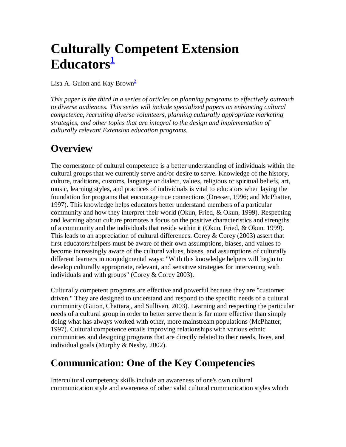# **Culturally Competent Extension Educators<sup>1</sup>**

Lisa A. Guion and Kay Brown<sup>2</sup>

*This paper is the third in a series of articles on planning programs to effectively outreach to diverse audiences. This series will include specialized papers on enhancing cultural competence, recruiting diverse volunteers, planning culturally appropriate marketing strategies, and other topics that are integral to the design and implementation of culturally relevant Extension education programs.* 

### **Overview**

The cornerstone of cultural competence is a better understanding of individuals within the cultural groups that we currently serve and/or desire to serve. Knowledge of the history, culture, traditions, customs, language or dialect, values, religious or spiritual beliefs, art, music, learning styles, and practices of individuals is vital to educators when laying the foundation for programs that encourage true connections (Dresser, 1996; and McPhatter, 1997). This knowledge helps educators better understand members of a particular community and how they interpret their world (Okun, Fried, & Okun, 1999). Respecting and learning about culture promotes a focus on the positive characteristics and strengths of a community and the individuals that reside within it (Okun, Fried, & Okun, 1999). This leads to an appreciation of cultural differences. Corey  $\&$  Corey (2003) assert that first educators/helpers must be aware of their own assumptions, biases, and values to become increasingly aware of the cultural values, biases, and assumptions of culturally different learners in nonjudgmental ways: "With this knowledge helpers will begin to develop culturally appropriate, relevant, and sensitive strategies for intervening with individuals and with groups" (Corey & Corey 2003).

Culturally competent programs are effective and powerful because they are "customer driven." They are designed to understand and respond to the specific needs of a cultural community (Guion, Chattaraj, and Sullivan, 2003). Learning and respecting the particular needs of a cultural group in order to better serve them is far more effective than simply doing what has always worked with other, more mainstream populations (McPhatter, 1997). Cultural competence entails improving relationships with various ethnic communities and designing programs that are directly related to their needs, lives, and individual goals (Murphy & Nesby, 2002).

## **Communication: One of the Key Competencies**

Intercultural competency skills include an awareness of one's own cultural communication style and awareness of other valid cultural communication styles which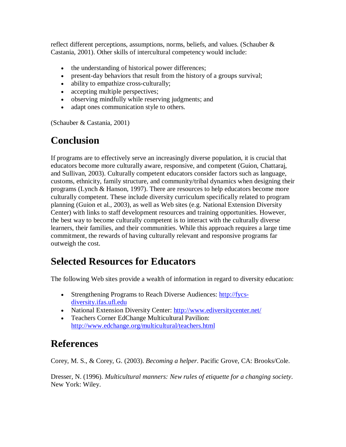reflect different perceptions, assumptions, norms, beliefs, and values. (Schauber  $\&$ Castania, 2001). Other skills of intercultural competency would include:

- the understanding of historical power differences;
- present-day behaviors that result from the history of a groups survival;
- ability to empathize cross-culturally;
- accepting multiple perspectives;
- observing mindfully while reserving judgments; and
- adapt ones communication style to others.

(Schauber & Castania, 2001)

#### **Conclusion**

If programs are to effectively serve an increasingly diverse population, it is crucial that educators become more culturally aware, responsive, and competent (Guion, Chattaraj, and Sullivan, 2003). Culturally competent educators consider factors such as language, customs, ethnicity, family structure, and community/tribal dynamics when designing their programs (Lynch & Hanson, 1997). There are resources to help educators become more culturally competent. These include diversity curriculum specifically related to program planning (Guion et al., 2003), as well as Web sites (e.g. National Extension Diversity Center) with links to staff development resources and training opportunities. However, the best way to become culturally competent is to interact with the culturally diverse learners, their families, and their communities. While this approach requires a large time commitment, the rewards of having culturally relevant and responsive programs far outweigh the cost.

#### **Selected Resources for Educators**

The following Web sites provide a wealth of information in regard to diversity education:

- Strengthening Programs to Reach Diverse Audiences: http://fycsdiversity.ifas.ufl.edu
- National Extension Diversity Center: http://www.ediversitycenter.net/
- Teachers Corner EdChange Multicultural Pavilion: http://www.edchange.org/multicultural/teachers.html

#### **References**

Corey, M. S., & Corey, G. (2003). *Becoming a helper*. Pacific Grove, CA: Brooks/Cole.

Dresser, N. (1996). *Multicultural manners: New rules of etiquette for a changing society*. New York: Wiley.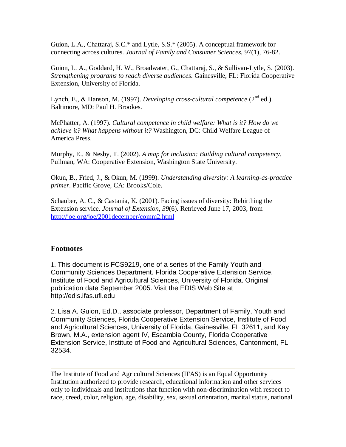Guion, L.A., Chattaraj, S.C.\* and Lytle, S.S.\* (2005). A conceptual framework for connecting across cultures. *Journal of Family and Consumer Sciences*, 97(1), 76-82.

Guion, L. A., Goddard, H. W., Broadwater, G., Chattaraj, S., & Sullivan-Lytle, S. (2003). *Strengthening programs to reach diverse audiences*. Gainesville, FL: Florida Cooperative Extension, University of Florida.

Lynch, E., & Hanson, M. (1997). *Developing cross-cultural competence* (2<sup>nd</sup> ed.). Baltimore, MD: Paul H. Brookes.

McPhatter, A. (1997). *Cultural competence in child welfare: What is it? How do we achieve it? What happens without it?* Washington, DC: Child Welfare League of America Press.

Murphy, E., & Nesby, T. (2002). *A map for inclusion: Building cultural competency*. Pullman, WA: Cooperative Extension, Washington State University.

Okun, B., Fried, J., & Okun, M. (1999). *Understanding diversity: A learning-as-practice primer*. Pacific Grove, CA: Brooks/Cole.

Schauber, A. C., & Castania, K. (2001). Facing issues of diversity: Rebirthing the Extension service. *Journal of Extension, 39*(6). Retrieved June 17, 2003, from http://joe.org/joe/2001december/comm2.html

#### **Footnotes**

1. This document is FCS9219, one of a series of the Family Youth and Community Sciences Department, Florida Cooperative Extension Service, Institute of Food and Agricultural Sciences, University of Florida. Original publication date September 2005. Visit the EDIS Web Site at http://edis.ifas.ufl.edu

2. Lisa A. Guion, Ed.D., associate professor, Department of Family, Youth and Community Sciences, Florida Cooperative Extension Service, Institute of Food and Agricultural Sciences, University of Florida, Gainesville, FL 32611, and Kay Brown, M.A., extension agent IV, Escambia County, Florida Cooperative Extension Service, Institute of Food and Agricultural Sciences, Cantonment, FL 32534.

The Institute of Food and Agricultural Sciences (IFAS) is an Equal Opportunity Institution authorized to provide research, educational information and other services only to individuals and institutions that function with non-discrimination with respect to race, creed, color, religion, age, disability, sex, sexual orientation, marital status, national